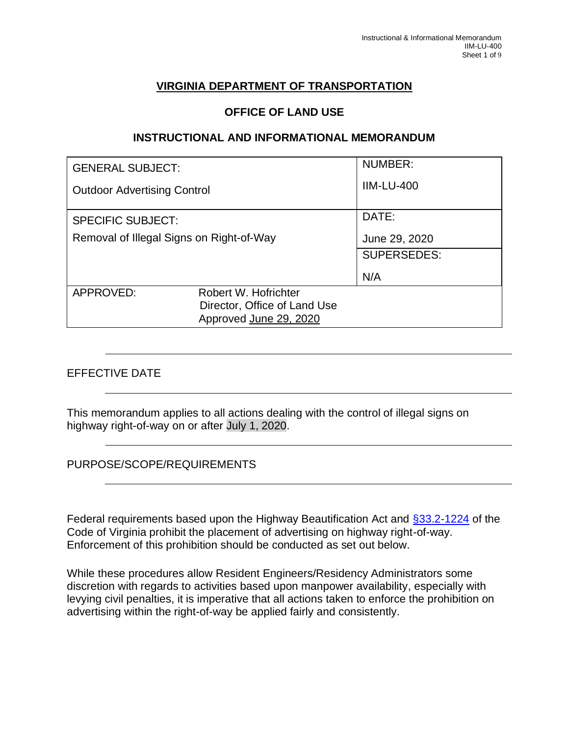### **VIRGINIA DEPARTMENT OF TRANSPORTATION**

#### **OFFICE OF LAND USE**

#### **INSTRUCTIONAL AND INFORMATIONAL MEMORANDUM**

| <b>GENERAL SUBJECT:</b>                  |                              | NUMBER:            |  |
|------------------------------------------|------------------------------|--------------------|--|
| <b>Outdoor Advertising Control</b>       |                              | <b>IIM-LU-400</b>  |  |
| <b>SPECIFIC SUBJECT:</b>                 |                              | DATE:              |  |
| Removal of Illegal Signs on Right-of-Way |                              | June 29, 2020      |  |
|                                          |                              | <b>SUPERSEDES:</b> |  |
|                                          |                              | N/A                |  |
| APPROVED:                                | Robert W. Hofrichter         |                    |  |
|                                          | Director, Office of Land Use |                    |  |
|                                          | Approved June 29, 2020       |                    |  |

### EFFECTIVE DATE

This memorandum applies to all actions dealing with the control of illegal signs on highway right-of-way on or after July 1, 2020.

PURPOSE/SCOPE/REQUIREMENTS

Federal requirements based upon the Highway Beautification Act and [§33.2-1224](https://law.lis.virginia.gov/vacode/title33.2/chapter12/section33.2-1224/) of the Code of Virginia prohibit the placement of advertising on highway right-of-way. Enforcement of this prohibition should be conducted as set out below.

While these procedures allow Resident Engineers/Residency Administrators some discretion with regards to activities based upon manpower availability, especially with levying civil penalties, it is imperative that all actions taken to enforce the prohibition on advertising within the right-of-way be applied fairly and consistently.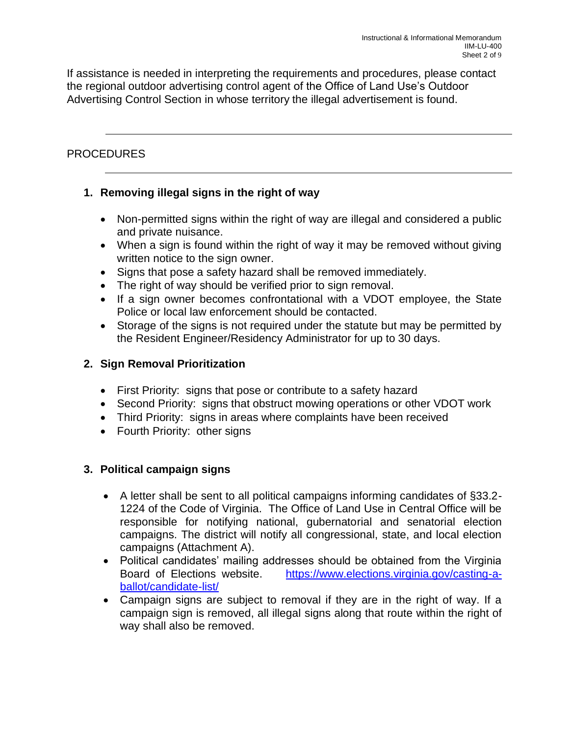If assistance is needed in interpreting the requirements and procedures, please contact the regional outdoor advertising control agent of the Office of Land Use's Outdoor Advertising Control Section in whose territory the illegal advertisement is found.

# PROCEDURES

# **1. Removing illegal signs in the right of way**

- Non-permitted signs within the right of way are illegal and considered a public and private nuisance.
- When a sign is found within the right of way it may be removed without giving written notice to the sign owner.
- Signs that pose a safety hazard shall be removed immediately.
- The right of way should be verified prior to sign removal.
- If a sign owner becomes confrontational with a VDOT employee, the State Police or local law enforcement should be contacted.
- Storage of the signs is not required under the statute but may be permitted by the Resident Engineer/Residency Administrator for up to 30 days.

# **2. Sign Removal Prioritization**

- First Priority: signs that pose or contribute to a safety hazard
- Second Priority: signs that obstruct mowing operations or other VDOT work
- Third Priority: signs in areas where complaints have been received
- Fourth Priority: other signs

# **3. Political campaign signs**

- A letter shall be sent to all political campaigns informing candidates of §33.2- 1224 of the Code of Virginia. The Office of Land Use in Central Office will be responsible for notifying national, gubernatorial and senatorial election campaigns. The district will notify all congressional, state, and local election campaigns (Attachment A).
- Political candidates' mailing addresses should be obtained from the Virginia Board of Elections website. [https://www.elections.virginia.gov/casting-a](https://www.elections.virginia.gov/casting-a-ballot/candidate-list/)[ballot/candidate-list/](https://www.elections.virginia.gov/casting-a-ballot/candidate-list/)
- Campaign signs are subject to removal if they are in the right of way. If a campaign sign is removed, all illegal signs along that route within the right of way shall also be removed.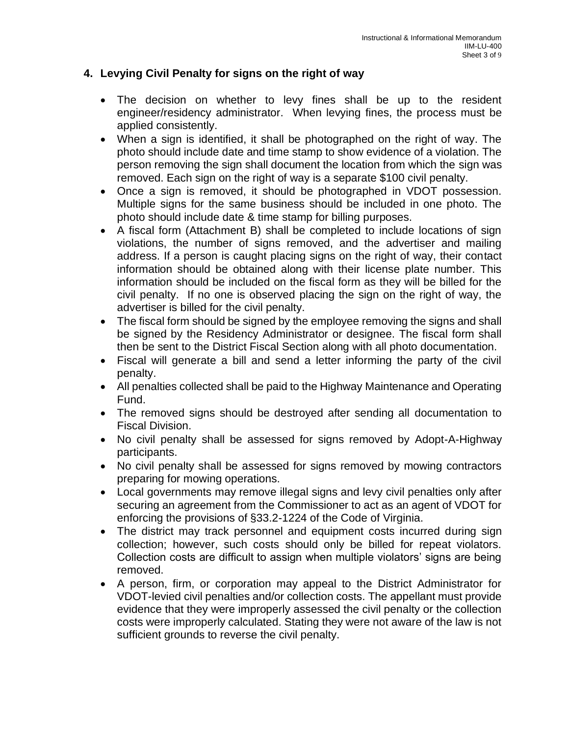### **4. Levying Civil Penalty for signs on the right of way**

- The decision on whether to levy fines shall be up to the resident engineer/residency administrator. When levying fines, the process must be applied consistently.
- When a sign is identified, it shall be photographed on the right of way. The photo should include date and time stamp to show evidence of a violation. The person removing the sign shall document the location from which the sign was removed. Each sign on the right of way is a separate \$100 civil penalty.
- Once a sign is removed, it should be photographed in VDOT possession. Multiple signs for the same business should be included in one photo. The photo should include date & time stamp for billing purposes.
- A fiscal form (Attachment B) shall be completed to include locations of sign violations, the number of signs removed, and the advertiser and mailing address. If a person is caught placing signs on the right of way, their contact information should be obtained along with their license plate number. This information should be included on the fiscal form as they will be billed for the civil penalty. If no one is observed placing the sign on the right of way, the advertiser is billed for the civil penalty.
- The fiscal form should be signed by the employee removing the signs and shall be signed by the Residency Administrator or designee. The fiscal form shall then be sent to the District Fiscal Section along with all photo documentation.
- Fiscal will generate a bill and send a letter informing the party of the civil penalty.
- All penalties collected shall be paid to the Highway Maintenance and Operating Fund.
- The removed signs should be destroyed after sending all documentation to Fiscal Division.
- No civil penalty shall be assessed for signs removed by Adopt-A-Highway participants.
- No civil penalty shall be assessed for signs removed by mowing contractors preparing for mowing operations.
- Local governments may remove illegal signs and levy civil penalties only after securing an agreement from the Commissioner to act as an agent of VDOT for enforcing the provisions of §33.2-1224 of the Code of Virginia.
- The district may track personnel and equipment costs incurred during sign collection; however, such costs should only be billed for repeat violators. Collection costs are difficult to assign when multiple violators' signs are being removed.
- A person, firm, or corporation may appeal to the District Administrator for VDOT-levied civil penalties and/or collection costs. The appellant must provide evidence that they were improperly assessed the civil penalty or the collection costs were improperly calculated. Stating they were not aware of the law is not sufficient grounds to reverse the civil penalty.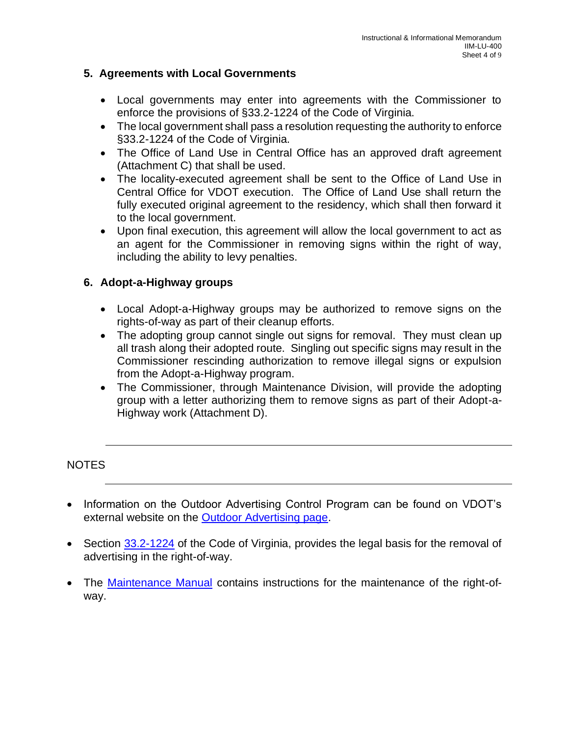#### **5. Agreements with Local Governments**

- Local governments may enter into agreements with the Commissioner to enforce the provisions of §33.2-1224 of the Code of Virginia.
- The local government shall pass a resolution requesting the authority to enforce §33.2-1224 of the Code of Virginia.
- The Office of Land Use in Central Office has an approved draft agreement (Attachment C) that shall be used.
- The locality-executed agreement shall be sent to the Office of Land Use in Central Office for VDOT execution. The Office of Land Use shall return the fully executed original agreement to the residency, which shall then forward it to the local government.
- Upon final execution, this agreement will allow the local government to act as an agent for the Commissioner in removing signs within the right of way, including the ability to levy penalties.

### **6. Adopt-a-Highway groups**

- Local Adopt-a-Highway groups may be authorized to remove signs on the rights-of-way as part of their cleanup efforts.
- The adopting group cannot single out signs for removal. They must clean up all trash along their adopted route. Singling out specific signs may result in the Commissioner rescinding authorization to remove illegal signs or expulsion from the Adopt-a-Highway program.
- The Commissioner, through Maintenance Division, will provide the adopting group with a letter authorizing them to remove signs as part of their Adopt-a-Highway work (Attachment D).

### NOTES

- Information on the Outdoor Advertising Control Program can be found on VDOT's external website on the [Outdoor Advertising page.](https://www.virginiadot.org/info/outdoor_advertising_and_the_state_right_of_way.asp)
- Section [33.2-1224](https://law.lis.virginia.gov/vacode/title33.2/chapter12/section33.2-1224/) of the Code of Virginia, provides the legal basis for the removal of advertising in the right-of-way.
- The [Maintenance Manual](https://insidevdot.cov.virginia.gov/Docs/Documents/VDOT%20Best%20Practices.pdf) contains instructions for the maintenance of the right-ofway.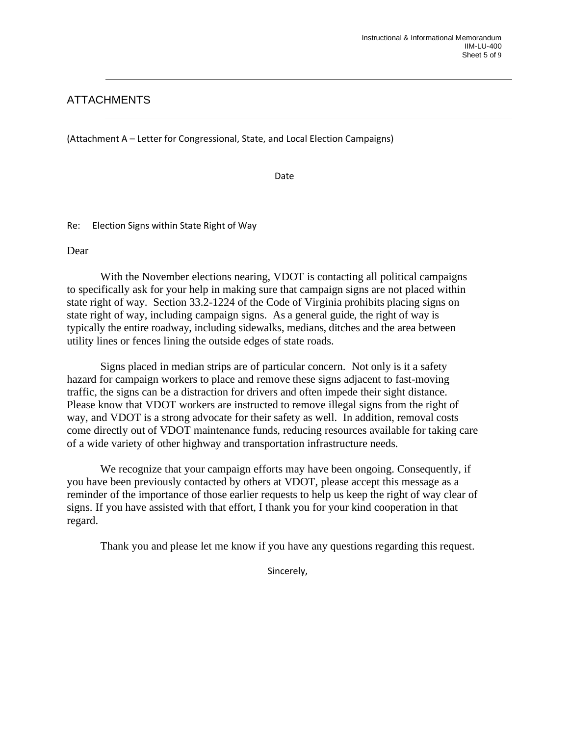### ATTACHMENTS

(Attachment A – Letter for Congressional, State, and Local Election Campaigns)

Date

Re: Election Signs within State Right of Way

Dear

With the November elections nearing, VDOT is contacting all political campaigns to specifically ask for your help in making sure that campaign signs are not placed within state right of way. Section 33.2-1224 of the Code of Virginia prohibits placing signs on state right of way, including campaign signs. As a general guide, the right of way is typically the entire roadway, including sidewalks, medians, ditches and the area between utility lines or fences lining the outside edges of state roads.

Signs placed in median strips are of particular concern. Not only is it a safety hazard for campaign workers to place and remove these signs adjacent to fast-moving traffic, the signs can be a distraction for drivers and often impede their sight distance. Please know that VDOT workers are instructed to remove illegal signs from the right of way, and VDOT is a strong advocate for their safety as well. In addition, removal costs come directly out of VDOT maintenance funds, reducing resources available for taking care of a wide variety of other highway and transportation infrastructure needs.

We recognize that your campaign efforts may have been ongoing. Consequently, if you have been previously contacted by others at VDOT, please accept this message as a reminder of the importance of those earlier requests to help us keep the right of way clear of signs. If you have assisted with that effort, I thank you for your kind cooperation in that regard.

Thank you and please let me know if you have any questions regarding this request.

Sincerely,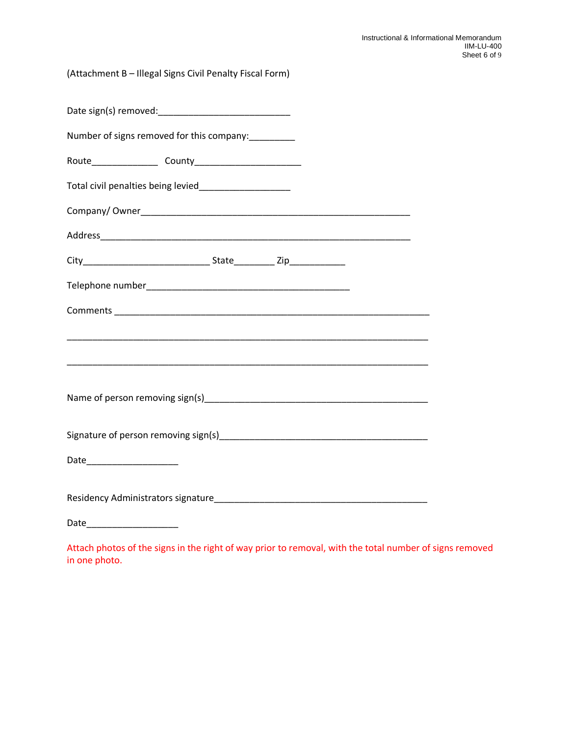(Attachment B – Illegal Signs Civil Penalty Fiscal Form)

| Number of signs removed for this company:__________                                                                   |  |  |  |  |
|-----------------------------------------------------------------------------------------------------------------------|--|--|--|--|
|                                                                                                                       |  |  |  |  |
| Total civil penalties being levied_____________________                                                               |  |  |  |  |
|                                                                                                                       |  |  |  |  |
|                                                                                                                       |  |  |  |  |
|                                                                                                                       |  |  |  |  |
|                                                                                                                       |  |  |  |  |
|                                                                                                                       |  |  |  |  |
|                                                                                                                       |  |  |  |  |
| <u> 1989 - Johann Harry Harry Harry Harry Harry Harry Harry Harry Harry Harry Harry Harry Harry Harry Harry Harry</u> |  |  |  |  |
|                                                                                                                       |  |  |  |  |
|                                                                                                                       |  |  |  |  |
| Date__________________________                                                                                        |  |  |  |  |
|                                                                                                                       |  |  |  |  |
|                                                                                                                       |  |  |  |  |

Attach photos of the signs in the right of way prior to removal, with the total number of signs removed in one photo.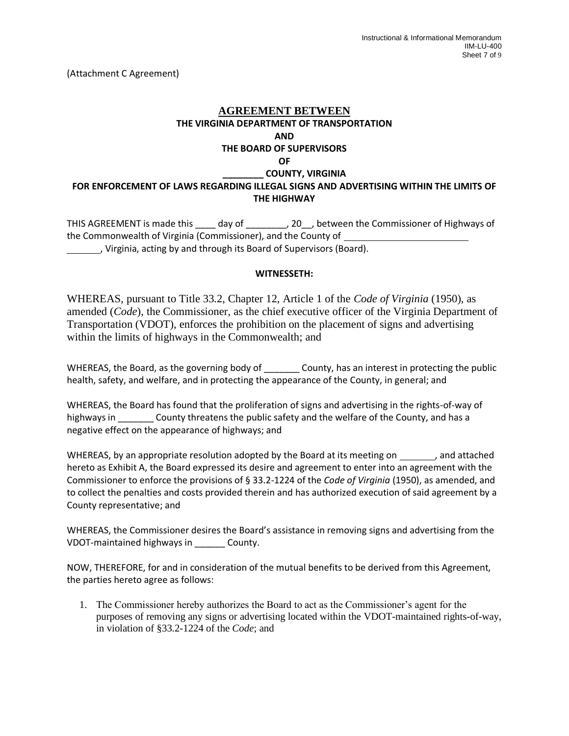(Attachment C Agreement)

# **AGREEMENT BETWEEN THE VIRGINIA DEPARTMENT OF TRANSPORTATION AND THE BOARD OF SUPERVISORS OF \_\_\_\_\_\_\_\_ COUNTY, VIRGINIA**

#### **FOR ENFORCEMENT OF LAWS REGARDING ILLEGAL SIGNS AND ADVERTISING WITHIN THE LIMITS OF THE HIGHWAY**

THIS AGREEMENT is made this \_\_\_\_ day of \_\_\_\_\_\_\_, 20\_, between the Commissioner of Highways of the Commonwealth of Virginia (Commissioner), and the County of , Virginia, acting by and through its Board of Supervisors (Board).

#### **WITNESSETH:**

WHEREAS, pursuant to Title 33.2, Chapter 12, Article 1 of the *Code of Virginia* (1950), as amended (*Code*), the Commissioner, as the chief executive officer of the Virginia Department of Transportation (VDOT), enforces the prohibition on the placement of signs and advertising within the limits of highways in the Commonwealth; and

WHEREAS, the Board, as the governing body of \_\_\_\_\_\_\_ County, has an interest in protecting the public health, safety, and welfare, and in protecting the appearance of the County, in general; and

WHEREAS, the Board has found that the proliferation of signs and advertising in the rights-of-way of highways in \_\_\_\_\_\_\_\_ County threatens the public safety and the welfare of the County, and has a negative effect on the appearance of highways; and

WHEREAS, by an appropriate resolution adopted by the Board at its meeting on , and attached hereto as Exhibit A, the Board expressed its desire and agreement to enter into an agreement with the Commissioner to enforce the provisions of § 33.2-1224 of the *Code of Virginia* (1950), as amended, and to collect the penalties and costs provided therein and has authorized execution of said agreement by a County representative; and

WHEREAS, the Commissioner desires the Board's assistance in removing signs and advertising from the VDOT-maintained highways in \_\_\_\_\_\_ County.

NOW, THEREFORE, for and in consideration of the mutual benefits to be derived from this Agreement, the parties hereto agree as follows:

1. The Commissioner hereby authorizes the Board to act as the Commissioner's agent for the purposes of removing any signs or advertising located within the VDOT-maintained rights-of-way, in violation of §33.2-1224 of the *Code*; and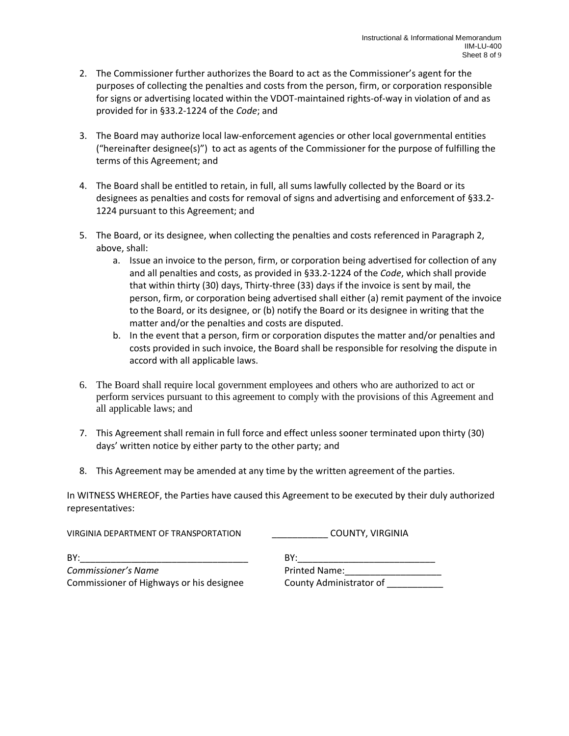- 2. The Commissioner further authorizes the Board to act as the Commissioner's agent for the purposes of collecting the penalties and costs from the person, firm, or corporation responsible for signs or advertising located within the VDOT-maintained rights-of-way in violation of and as provided for in §33.2-1224 of the *Code*; and
- 3. The Board may authorize local law-enforcement agencies or other local governmental entities ("hereinafter designee(s)") to act as agents of the Commissioner for the purpose of fulfilling the terms of this Agreement; and
- 4. The Board shall be entitled to retain, in full, all sums lawfully collected by the Board or its designees as penalties and costs for removal of signs and advertising and enforcement of §33.2- 1224 pursuant to this Agreement; and
- 5. The Board, or its designee, when collecting the penalties and costs referenced in Paragraph 2, above, shall:
	- a. Issue an invoice to the person, firm, or corporation being advertised for collection of any and all penalties and costs, as provided in §33.2-1224 of the *Code*, which shall provide that within thirty (30) days, Thirty-three (33) days if the invoice is sent by mail, the person, firm, or corporation being advertised shall either (a) remit payment of the invoice to the Board, or its designee, or (b) notify the Board or its designee in writing that the matter and/or the penalties and costs are disputed.
	- b. In the event that a person, firm or corporation disputes the matter and/or penalties and costs provided in such invoice, the Board shall be responsible for resolving the dispute in accord with all applicable laws.
- 6. The Board shall require local government employees and others who are authorized to act or perform services pursuant to this agreement to comply with the provisions of this Agreement and all applicable laws; and
- 7. This Agreement shall remain in full force and effect unless sooner terminated upon thirty (30) days' written notice by either party to the other party; and
- 8. This Agreement may be amended at any time by the written agreement of the parties.

In WITNESS WHEREOF, the Parties have caused this Agreement to be executed by their duly authorized representatives:

| VIRGINIA DEPARTMENT OF TRANSPORTATION    | COUNTY, VIRGINIA        |
|------------------------------------------|-------------------------|
| BY:                                      | BY:                     |
| Commissioner's Name                      | <b>Printed Name:</b>    |
| Commissioner of Highways or his designee | County Administrator of |
|                                          |                         |